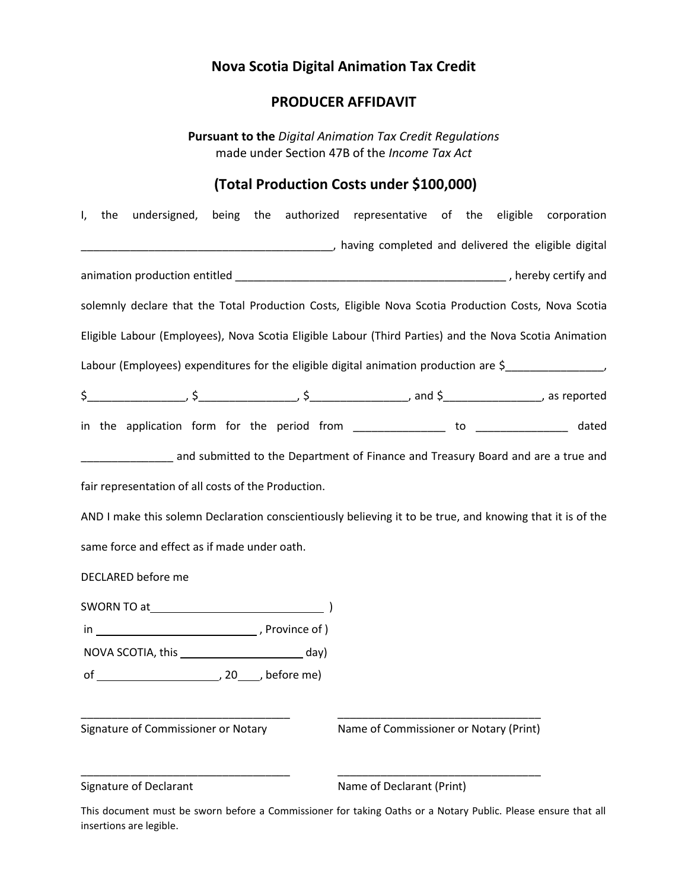# **Nova Scotia Digital Animation Tax Credit**

# **PRODUCER AFFIDAVIT**

**Pursuant to the** *Digital Animation Tax Credit Regulations*  made under Section 47B of the *Income Tax Act*

# **(Total Production Costs under \$100,000)**

| I, the undersigned, being the authorized representative of the eligible corporation                         |                                        |  |
|-------------------------------------------------------------------------------------------------------------|----------------------------------------|--|
| Later and delivered the eligible digital increases the eligible digital increases that the eligible digital |                                        |  |
|                                                                                                             |                                        |  |
| solemnly declare that the Total Production Costs, Eligible Nova Scotia Production Costs, Nova Scotia        |                                        |  |
| Eligible Labour (Employees), Nova Scotia Eligible Labour (Third Parties) and the Nova Scotia Animation      |                                        |  |
| Labour (Employees) expenditures for the eligible digital animation production are \$                        |                                        |  |
| $$$ and $$$ as reported and $$$ and $$$ and $$$ and $$$ and $$$ as reported                                 |                                        |  |
| in the application form for the period from ________________ to ________________ dated                      |                                        |  |
| and submitted to the Department of Finance and Treasury Board and are a true and and are a true and         |                                        |  |
| fair representation of all costs of the Production.                                                         |                                        |  |
| AND I make this solemn Declaration conscientiously believing it to be true, and knowing that it is of the   |                                        |  |
| same force and effect as if made under oath.                                                                |                                        |  |
| DECLARED before me                                                                                          |                                        |  |
|                                                                                                             |                                        |  |
|                                                                                                             |                                        |  |
|                                                                                                             |                                        |  |
|                                                                                                             |                                        |  |
|                                                                                                             |                                        |  |
| Signature of Commissioner or Notary                                                                         | Name of Commissioner or Notary (Print) |  |
|                                                                                                             |                                        |  |
| Signature of Declarant                                                                                      | Name of Declarant (Print)              |  |

This document must be sworn before a Commissioner for taking Oaths or a Notary Public. Please ensure that all insertions are legible.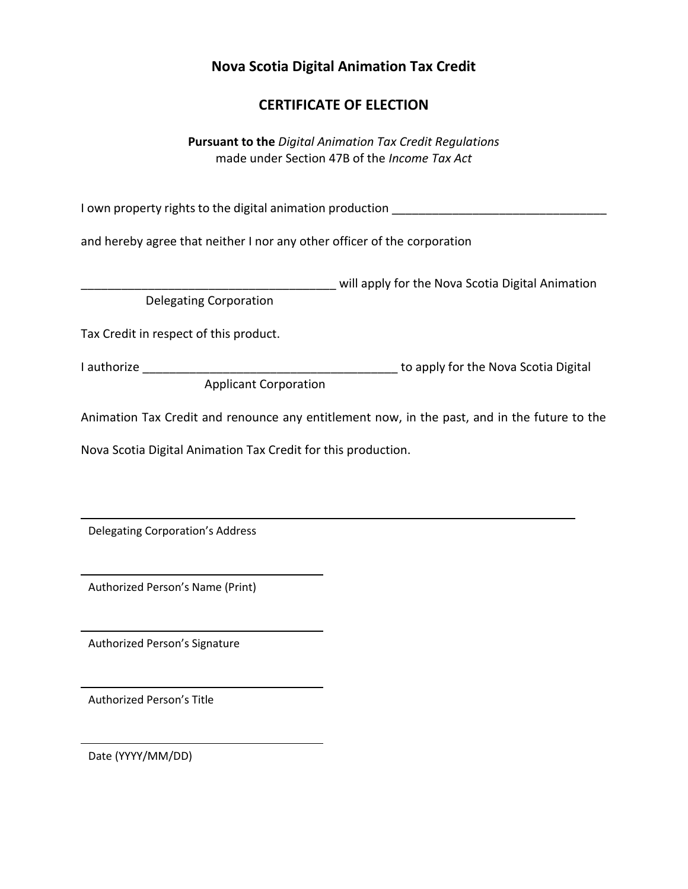# **Nova Scotia Digital Animation Tax Credit**

# **CERTIFICATE OF ELECTION**

**Pursuant to the** *Digital Animation Tax Credit Regulations*  made under Section 47B of the *Income Tax Act*

I own property rights to the digital animation production \_\_\_\_\_\_\_\_\_\_\_\_\_\_\_\_\_\_\_\_\_\_

and hereby agree that neither I nor any other officer of the corporation

\_\_\_\_\_\_\_\_\_\_\_\_\_\_\_\_\_\_\_\_\_\_\_\_\_\_\_\_\_\_\_\_\_\_\_\_\_\_ will apply for the Nova Scotia Digital Animation Delegating Corporation

Tax Credit in respect of this product.

Applicant Corporation

I authorize \_\_\_\_\_\_\_\_\_\_\_\_\_\_\_\_\_\_\_\_\_\_\_\_\_\_\_\_\_\_\_\_\_\_\_\_\_\_ to apply for the Nova Scotia Digital

Animation Tax Credit and renounce any entitlement now, in the past, and in the future to the

Nova Scotia Digital Animation Tax Credit for this production.

Delegating Corporation's Address

Authorized Person's Name (Print)

Authorized Person's Signature

Authorized Person's Title

Date (YYYY/MM/DD)